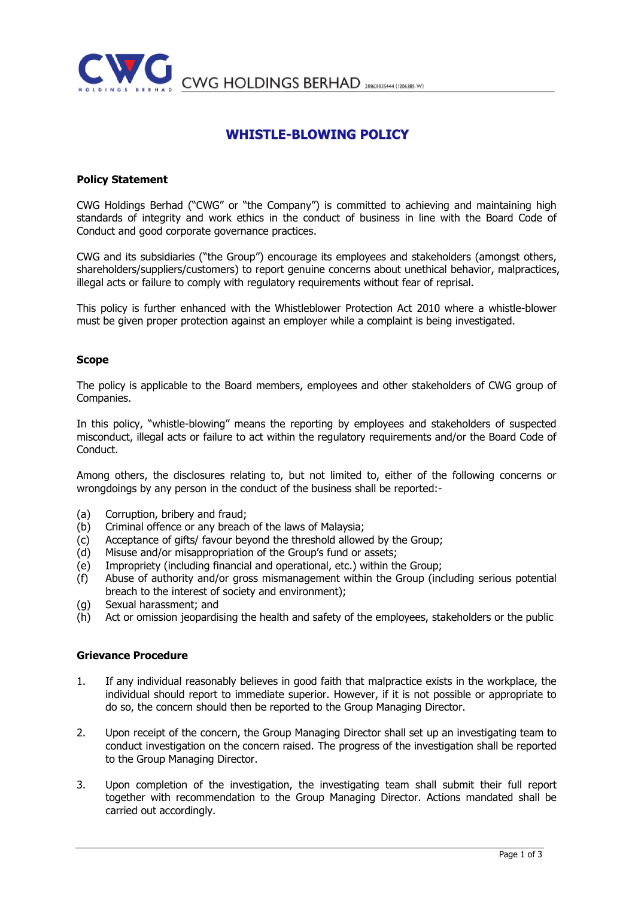

CWG HOLDINGS BERHAD 20160103444 (1206385-W)

# WHISTLE-BLOWING POLICY

### Policy Statement

CWG Holdings Berhad ("CWG" or "the Company") is committed to achieving and maintaining high standards of integrity and work ethics in the conduct of business in line with the Board Code of Conduct and good corporate governance practices.

CWG and its subsidiaries ("the Group") encourage its employees and stakeholders (amongst others, shareholders/suppliers/customers) to report genuine concerns about unethical behavior, malpractices, illegal acts or failure to comply with regulatory requirements without fear of reprisal.

This policy is further enhanced with the Whistleblower Protection Act 2010 where a whistle-blower must be given proper protection against an employer while a complaint is being investigated.

#### Scope

The policy is applicable to the Board members, employees and other stakeholders of CWG group of Companies.

In this policy, "whistle-blowing" means the reporting by employees and stakeholders of suspected misconduct, illegal acts or failure to act within the regulatory requirements and/or the Board Code of Conduct.

Among others, the disclosures relating to, but not limited to, either of the following concerns or wrongdoings by any person in the conduct of the business shall be reported:-

- (a) Corruption, bribery and fraud;
- (b) Criminal offence or any breach of the laws of Malaysia;
- (c) Acceptance of gifts/ favour beyond the threshold allowed by the Group;
- (d) Misuse and/or misappropriation of the Group's fund or assets;
- (e) Impropriety (including financial and operational, etc.) within the Group;
- (f) Abuse of authority and/or gross mismanagement within the Group (including serious potential breach to the interest of society and environment);
- (g) Sexual harassment; and
- (h) Act or omission jeopardising the health and safety of the employees, stakeholders or the public

#### Grievance Procedure

- 1. If any individual reasonably believes in good faith that malpractice exists in the workplace, the individual should report to immediate superior. However, if it is not possible or appropriate to do so, the concern should then be reported to the Group Managing Director.
- 2. Upon receipt of the concern, the Group Managing Director shall set up an investigating team to conduct investigation on the concern raised. The progress of the investigation shall be reported to the Group Managing Director.
- 3. Upon completion of the investigation, the investigating team shall submit their full report together with recommendation to the Group Managing Director. Actions mandated shall be carried out accordingly.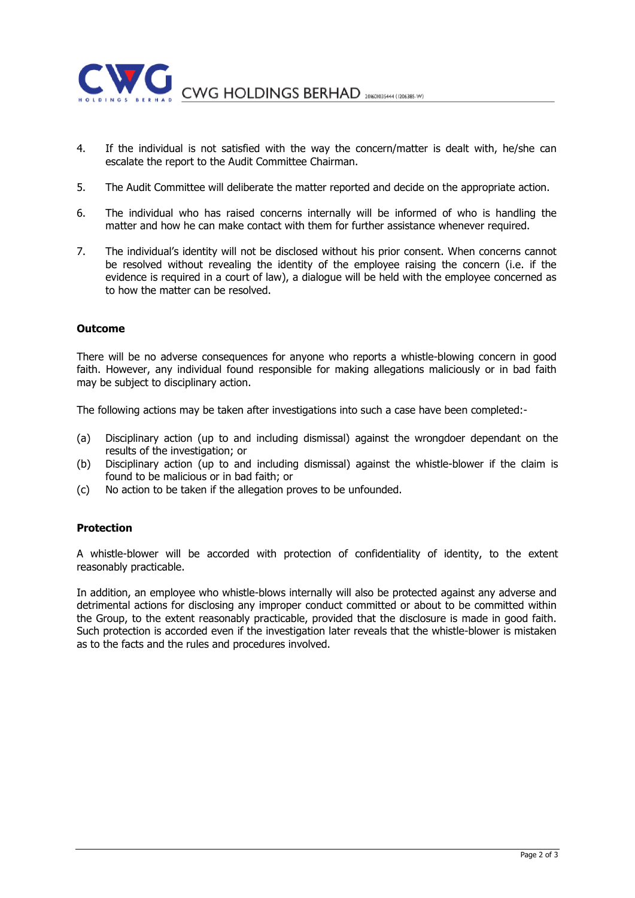

- 4. If the individual is not satisfied with the way the concern/matter is dealt with, he/she can escalate the report to the Audit Committee Chairman.
- 5. The Audit Committee will deliberate the matter reported and decide on the appropriate action.
- 6. The individual who has raised concerns internally will be informed of who is handling the matter and how he can make contact with them for further assistance whenever required.
- 7. The individual's identity will not be disclosed without his prior consent. When concerns cannot be resolved without revealing the identity of the employee raising the concern (i.e. if the evidence is required in a court of law), a dialogue will be held with the employee concerned as to how the matter can be resolved.

## **Outcome**

There will be no adverse consequences for anyone who reports a whistle-blowing concern in good faith. However, any individual found responsible for making allegations maliciously or in bad faith may be subject to disciplinary action.

The following actions may be taken after investigations into such a case have been completed:-

- (a) Disciplinary action (up to and including dismissal) against the wrongdoer dependant on the results of the investigation; or
- (b) Disciplinary action (up to and including dismissal) against the whistle-blower if the claim is found to be malicious or in bad faith; or
- (c) No action to be taken if the allegation proves to be unfounded.

## Protection

A whistle-blower will be accorded with protection of confidentiality of identity, to the extent reasonably practicable.

In addition, an employee who whistle-blows internally will also be protected against any adverse and detrimental actions for disclosing any improper conduct committed or about to be committed within the Group, to the extent reasonably practicable, provided that the disclosure is made in good faith. Such protection is accorded even if the investigation later reveals that the whistle-blower is mistaken as to the facts and the rules and procedures involved.